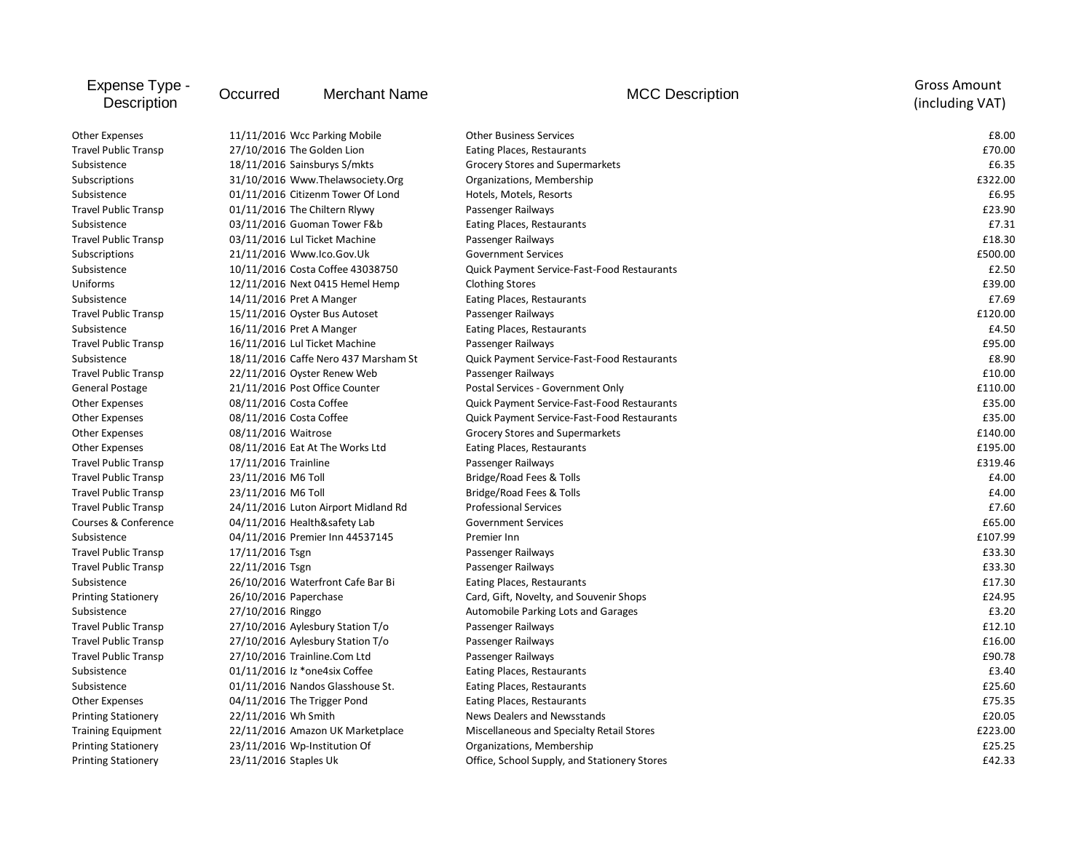| Expense Type -<br>Description | Occurred                         | <b>Merchant Name</b>                 | <b>MCC Description</b>                       | <b>Gross Amount</b><br>(including VAT) |
|-------------------------------|----------------------------------|--------------------------------------|----------------------------------------------|----------------------------------------|
| Other Expenses                | 11/11/2016 Wcc Parking Mobile    |                                      | <b>Other Business Services</b>               | £8.00                                  |
| <b>Travel Public Transp</b>   | 27/10/2016 The Golden Lion       |                                      | Eating Places, Restaurants                   | £70.00                                 |
| Subsistence                   | 18/11/2016 Sainsburys S/mkts     |                                      | Grocery Stores and Supermarkets              | £6.35                                  |
| Subscriptions                 | 31/10/2016 Www.Thelawsociety.Org |                                      | Organizations, Membership                    | £322.00                                |
| Subsistence                   |                                  | 01/11/2016 Citizenm Tower Of Lond    | Hotels, Motels, Resorts                      | £6.95                                  |
| <b>Travel Public Transp</b>   |                                  | 01/11/2016 The Chiltern Rlywy        | Passenger Railways                           | £23.90                                 |
| Subsistence                   |                                  | 03/11/2016 Guoman Tower F&b          | Eating Places, Restaurants                   | £7.31                                  |
| <b>Travel Public Transp</b>   |                                  | 03/11/2016 Lul Ticket Machine        | Passenger Railways                           | £18.30                                 |
| Subscriptions                 | 21/11/2016 Www.lco.Gov.Uk        |                                      | <b>Government Services</b>                   | £500.00                                |
| Subsistence                   |                                  | 10/11/2016 Costa Coffee 43038750     | Quick Payment Service-Fast-Food Restaurants  | £2.50                                  |
| Uniforms                      |                                  | 12/11/2016 Next 0415 Hemel Hemp      | <b>Clothing Stores</b>                       | £39.00                                 |
| Subsistence                   | 14/11/2016 Pret A Manger         |                                      | Eating Places, Restaurants                   | £7.69                                  |
| <b>Travel Public Transp</b>   |                                  | 15/11/2016 Oyster Bus Autoset        | Passenger Railways                           | £120.00                                |
| Subsistence                   | 16/11/2016 Pret A Manger         |                                      | Eating Places, Restaurants                   | £4.50                                  |
| <b>Travel Public Transp</b>   |                                  | 16/11/2016 Lul Ticket Machine        | Passenger Railways                           | £95.00                                 |
| Subsistence                   |                                  | 18/11/2016 Caffe Nero 437 Marsham St | Quick Payment Service-Fast-Food Restaurants  | £8.90                                  |
| <b>Travel Public Transp</b>   |                                  | 22/11/2016 Oyster Renew Web          | Passenger Railways                           | £10.00                                 |
| <b>General Postage</b>        |                                  | 21/11/2016 Post Office Counter       | Postal Services - Government Only            | £110.00                                |
| <b>Other Expenses</b>         | 08/11/2016 Costa Coffee          |                                      | Quick Payment Service-Fast-Food Restaurants  | £35.00                                 |
| <b>Other Expenses</b>         | 08/11/2016 Costa Coffee          |                                      | Quick Payment Service-Fast-Food Restaurants  | £35.00                                 |
| <b>Other Expenses</b>         | 08/11/2016 Waitrose              |                                      | Grocery Stores and Supermarkets              | £140.00                                |
| <b>Other Expenses</b>         |                                  | 08/11/2016 Eat At The Works Ltd      | Eating Places, Restaurants                   | £195.00                                |
| <b>Travel Public Transp</b>   | 17/11/2016 Trainline             |                                      | Passenger Railways                           | £319.46                                |
| <b>Travel Public Transp</b>   | 23/11/2016 M6 Toll               |                                      | Bridge/Road Fees & Tolls                     | £4.00                                  |
| <b>Travel Public Transp</b>   | 23/11/2016 M6 Toll               |                                      | Bridge/Road Fees & Tolls                     | £4.00                                  |
| <b>Travel Public Transp</b>   |                                  | 24/11/2016 Luton Airport Midland Rd  | <b>Professional Services</b>                 | £7.60                                  |
| Courses & Conference          |                                  | 04/11/2016 Health&safety Lab         | <b>Government Services</b>                   | £65.00                                 |
| Subsistence                   |                                  | 04/11/2016 Premier Inn 44537145      | Premier Inn                                  | £107.99                                |
| <b>Travel Public Transp</b>   | 17/11/2016 Tsgn                  |                                      | Passenger Railways                           | £33.30                                 |
| <b>Travel Public Transp</b>   | 22/11/2016 Tsgn                  |                                      | Passenger Railways                           | £33.30                                 |
| Subsistence                   |                                  | 26/10/2016 Waterfront Cafe Bar Bi    | Eating Places, Restaurants                   | £17.30                                 |
| <b>Printing Stationery</b>    | 26/10/2016 Paperchase            |                                      | Card, Gift, Novelty, and Souvenir Shops      | £24.95                                 |
| Subsistence                   | 27/10/2016 Ringgo                |                                      | Automobile Parking Lots and Garages          | £3.20                                  |
| <b>Travel Public Transp</b>   |                                  | 27/10/2016 Aylesbury Station T/o     | Passenger Railways                           | £12.10                                 |
| <b>Travel Public Transp</b>   |                                  | 27/10/2016 Aylesbury Station T/o     | Passenger Railways                           | £16.00                                 |
| <b>Travel Public Transp</b>   | 27/10/2016 Trainline.Com Ltd     |                                      | Passenger Railways                           | £90.78                                 |
| Subsistence                   |                                  | 01/11/2016 Iz *one4six Coffee        | Eating Places, Restaurants                   | £3.40                                  |
| Subsistence                   |                                  | 01/11/2016 Nandos Glasshouse St.     | Eating Places, Restaurants                   | £25.60                                 |
| <b>Other Expenses</b>         | 04/11/2016 The Trigger Pond      |                                      | Eating Places, Restaurants                   | £75.35                                 |
| <b>Printing Stationery</b>    | 22/11/2016 Wh Smith              |                                      | News Dealers and Newsstands                  | £20.05                                 |
| <b>Training Equipment</b>     |                                  | 22/11/2016 Amazon UK Marketplace     | Miscellaneous and Specialty Retail Stores    | £223.00                                |
| <b>Printing Stationery</b>    | 23/11/2016 Wp-Institution Of     |                                      | Organizations, Membership                    | £25.25                                 |
| <b>Printing Stationery</b>    | 23/11/2016 Staples Uk            |                                      | Office, School Supply, and Stationery Stores | £42.33                                 |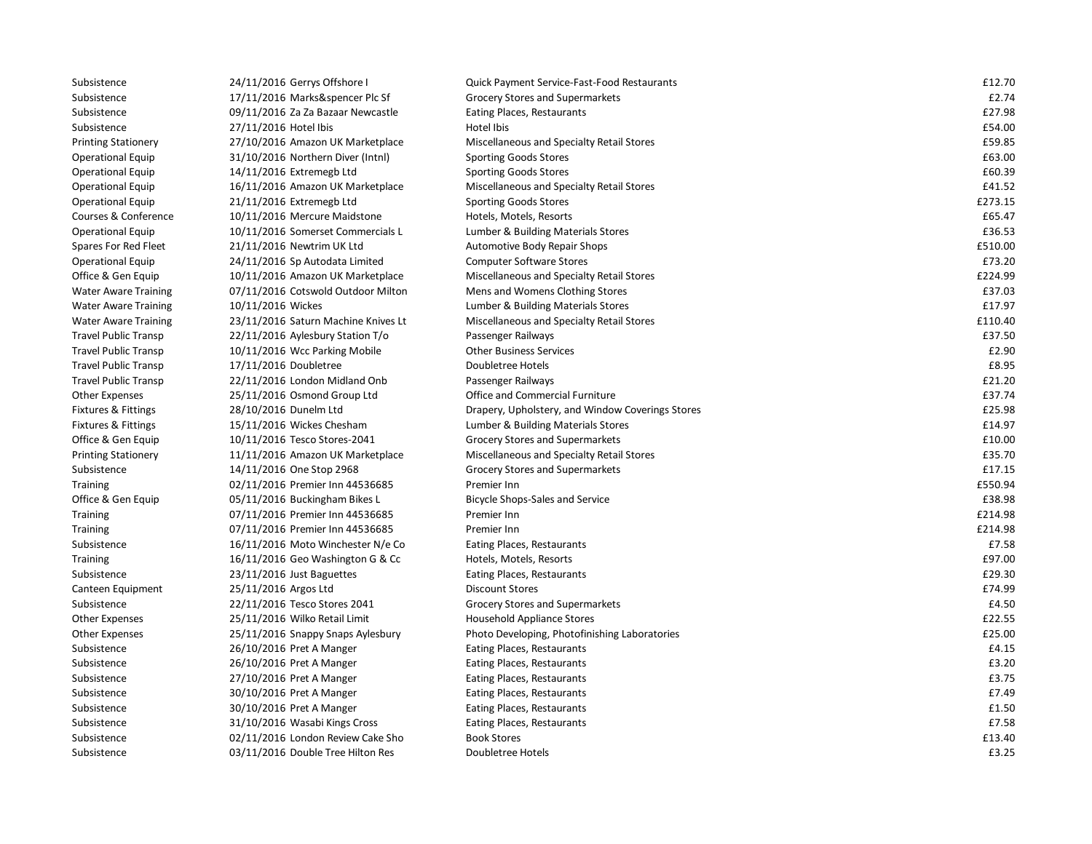| Subsistence                 | 24/11/2016 Gerrys Offshore I        | Quick Payment Service-Fast-Food Restaurants      | £12.70  |
|-----------------------------|-------------------------------------|--------------------------------------------------|---------|
| Subsistence                 | 17/11/2016 Marks&spencer Plc Sf     | Grocery Stores and Supermarkets                  | £2.74   |
| Subsistence                 | 09/11/2016 Za Za Bazaar Newcastle   | Eating Places, Restaurants                       | £27.98  |
| Subsistence                 | 27/11/2016 Hotel Ibis               | Hotel Ibis                                       | £54.00  |
| <b>Printing Stationery</b>  | 27/10/2016 Amazon UK Marketplace    | Miscellaneous and Specialty Retail Stores        | £59.85  |
| <b>Operational Equip</b>    | 31/10/2016 Northern Diver (Intnl)   | <b>Sporting Goods Stores</b>                     | £63.00  |
| <b>Operational Equip</b>    | 14/11/2016 Extremegb Ltd            | <b>Sporting Goods Stores</b>                     | £60.39  |
| <b>Operational Equip</b>    | 16/11/2016 Amazon UK Marketplace    | Miscellaneous and Specialty Retail Stores        | £41.52  |
| <b>Operational Equip</b>    | 21/11/2016 Extremegb Ltd            | <b>Sporting Goods Stores</b>                     | £273.15 |
| Courses & Conference        | 10/11/2016 Mercure Maidstone        | Hotels, Motels, Resorts                          | £65.47  |
| <b>Operational Equip</b>    | 10/11/2016 Somerset Commercials L   | Lumber & Building Materials Stores               | £36.53  |
| Spares For Red Fleet        | 21/11/2016 Newtrim UK Ltd           | Automotive Body Repair Shops                     | £510.00 |
| <b>Operational Equip</b>    | 24/11/2016 Sp Autodata Limited      | <b>Computer Software Stores</b>                  | £73.20  |
| Office & Gen Equip          | 10/11/2016 Amazon UK Marketplace    | Miscellaneous and Specialty Retail Stores        | £224.99 |
| <b>Water Aware Training</b> | 07/11/2016 Cotswold Outdoor Milton  | Mens and Womens Clothing Stores                  | £37.03  |
| <b>Water Aware Training</b> | 10/11/2016 Wickes                   | Lumber & Building Materials Stores               | £17.97  |
| <b>Water Aware Training</b> | 23/11/2016 Saturn Machine Knives Lt | Miscellaneous and Specialty Retail Stores        | £110.40 |
| <b>Travel Public Transp</b> | 22/11/2016 Aylesbury Station T/o    | Passenger Railways                               | £37.50  |
| <b>Travel Public Transp</b> | 10/11/2016 Wcc Parking Mobile       | <b>Other Business Services</b>                   | £2.90   |
| <b>Travel Public Transp</b> | 17/11/2016 Doubletree               | Doubletree Hotels                                | £8.95   |
| <b>Travel Public Transp</b> | 22/11/2016 London Midland Onb       | Passenger Railways                               | £21.20  |
| <b>Other Expenses</b>       | 25/11/2016 Osmond Group Ltd         | Office and Commercial Furniture                  | £37.74  |
| Fixtures & Fittings         | 28/10/2016 Dunelm Ltd               | Drapery, Upholstery, and Window Coverings Stores | £25.98  |
| Fixtures & Fittings         | 15/11/2016 Wickes Chesham           | Lumber & Building Materials Stores               | £14.97  |
| Office & Gen Equip          | 10/11/2016 Tesco Stores-2041        | Grocery Stores and Supermarkets                  | £10.00  |
| <b>Printing Stationery</b>  | 11/11/2016 Amazon UK Marketplace    | Miscellaneous and Specialty Retail Stores        | £35.70  |
| Subsistence                 | 14/11/2016 One Stop 2968            | Grocery Stores and Supermarkets                  | £17.15  |
| <b>Training</b>             | 02/11/2016 Premier Inn 44536685     | Premier Inn                                      | £550.94 |
| Office & Gen Equip          | 05/11/2016 Buckingham Bikes L       | Bicycle Shops-Sales and Service                  | £38.98  |
| <b>Training</b>             | 07/11/2016 Premier Inn 44536685     | Premier Inn                                      | £214.98 |
| <b>Training</b>             | 07/11/2016 Premier Inn 44536685     | Premier Inn                                      | £214.98 |
| Subsistence                 | 16/11/2016 Moto Winchester N/e Co   | Eating Places, Restaurants                       | £7.58   |
| <b>Training</b>             | 16/11/2016 Geo Washington G & Cc    | Hotels, Motels, Resorts                          | £97.00  |
| Subsistence                 | 23/11/2016 Just Baguettes           | Eating Places, Restaurants                       | £29.30  |
| Canteen Equipment           | 25/11/2016 Argos Ltd                | <b>Discount Stores</b>                           | £74.99  |
| Subsistence                 | 22/11/2016 Tesco Stores 2041        | Grocery Stores and Supermarkets                  | £4.50   |
| <b>Other Expenses</b>       | 25/11/2016 Wilko Retail Limit       | Household Appliance Stores                       | £22.55  |
| <b>Other Expenses</b>       | 25/11/2016 Snappy Snaps Aylesbury   | Photo Developing, Photofinishing Laboratories    | £25.00  |
| Subsistence                 | 26/10/2016 Pret A Manger            | Eating Places, Restaurants                       | £4.15   |
| Subsistence                 | 26/10/2016 Pret A Manger            | Eating Places, Restaurants                       | £3.20   |
| Subsistence                 | 27/10/2016 Pret A Manger            | Eating Places, Restaurants                       | £3.75   |
| Subsistence                 | 30/10/2016 Pret A Manger            | Eating Places, Restaurants                       | £7.49   |
| Subsistence                 | 30/10/2016 Pret A Manger            | Eating Places, Restaurants                       | £1.50   |
| Subsistence                 | 31/10/2016 Wasabi Kings Cross       | Eating Places, Restaurants                       | £7.58   |
| Subsistence                 | 02/11/2016 London Review Cake Sho   | <b>Book Stores</b>                               | £13.40  |
| Subsistence                 | 03/11/2016 Double Tree Hilton Res   | Doubletree Hotels                                | £3.25   |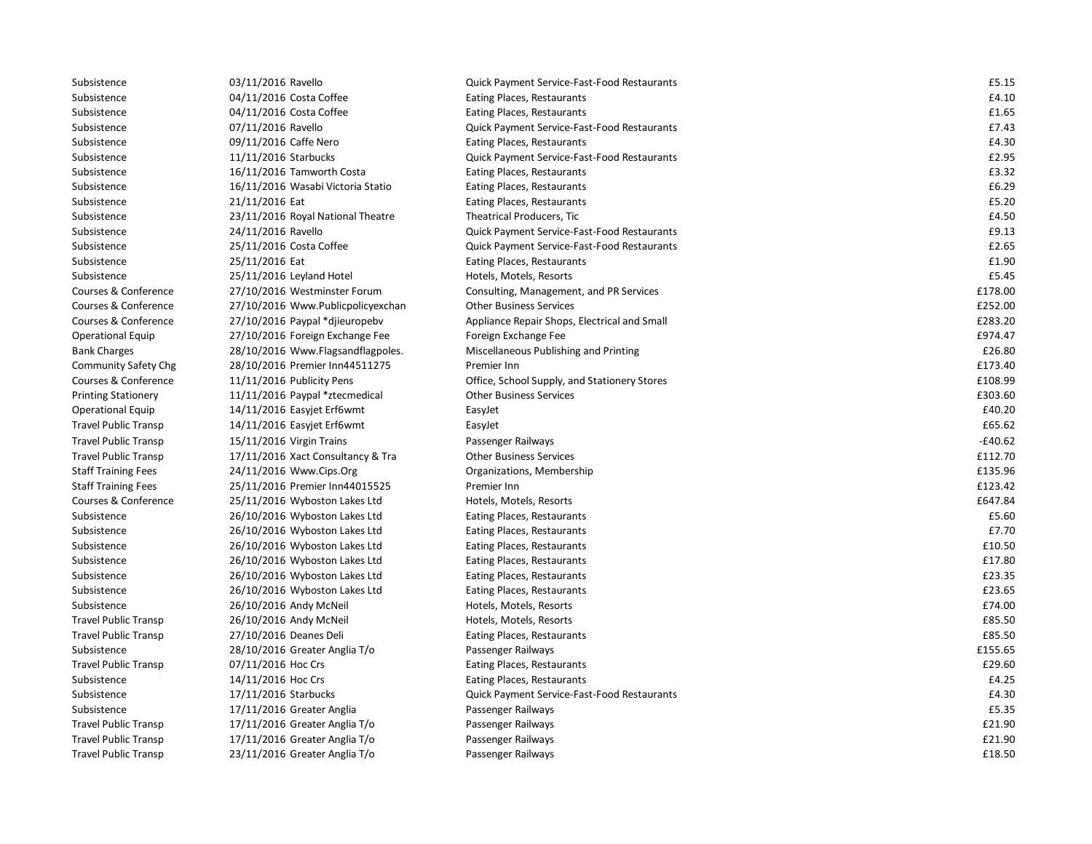| Subsistence                 | 03/11/2016 Ravello                | Quick Payment Service-Fast-Food Restaurants  | £5.15     |
|-----------------------------|-----------------------------------|----------------------------------------------|-----------|
| Subsistence                 | 04/11/2016 Costa Coffee           | Eating Places, Restaurants                   | £4.10     |
| Subsistence                 | 04/11/2016 Costa Coffee           | Eating Places, Restaurants                   | £1.65     |
| Subsistence                 | 07/11/2016 Ravello                | Quick Payment Service-Fast-Food Restaurants  | £7.43     |
| Subsistence                 | 09/11/2016 Caffe Nero             | Eating Places, Restaurants                   | £4.30     |
| Subsistence                 | 11/11/2016 Starbucks              | Quick Payment Service-Fast-Food Restaurants  | £2.95     |
| Subsistence                 | 16/11/2016 Tamworth Costa         | Eating Places, Restaurants                   | £3.32     |
| Subsistence                 | 16/11/2016 Wasabi Victoria Statio | Eating Places, Restaurants                   | £6.29     |
| Subsistence                 | 21/11/2016 Eat                    | Eating Places, Restaurants                   | £5.20     |
| Subsistence                 | 23/11/2016 Royal National Theatre | Theatrical Producers, Tic                    | £4.50     |
| Subsistence                 | 24/11/2016 Ravello                | Quick Payment Service-Fast-Food Restaurants  | £9.13     |
| Subsistence                 | 25/11/2016 Costa Coffee           | Quick Payment Service-Fast-Food Restaurants  | £2.65     |
| Subsistence                 | 25/11/2016 Eat                    | Eating Places, Restaurants                   | £1.90     |
| Subsistence                 | 25/11/2016 Leyland Hotel          | Hotels, Motels, Resorts                      | £5.45     |
| Courses & Conference        | 27/10/2016 Westminster Forum      | Consulting, Management, and PR Services      | £178.00   |
| Courses & Conference        | 27/10/2016 Www.Publicpolicyexchan | <b>Other Business Services</b>               | £252.00   |
| Courses & Conference        | 27/10/2016 Paypal *djieuropebv    | Appliance Repair Shops, Electrical and Small | £283.20   |
| <b>Operational Equip</b>    | 27/10/2016 Foreign Exchange Fee   | Foreign Exchange Fee                         | £974.47   |
| <b>Bank Charges</b>         | 28/10/2016 Www.Flagsandflagpoles. | Miscellaneous Publishing and Printing        | £26.80    |
| <b>Community Safety Chg</b> | 28/10/2016 Premier Inn44511275    | Premier Inn                                  | £173.40   |
| Courses & Conference        | 11/11/2016 Publicity Pens         | Office, School Supply, and Stationery Stores | £108.99   |
| <b>Printing Stationery</b>  | 11/11/2016 Paypal *ztecmedical    | <b>Other Business Services</b>               | £303.60   |
| <b>Operational Equip</b>    | 14/11/2016 Easyjet Erf6wmt        | EasyJet                                      | £40.20    |
| <b>Travel Public Transp</b> | 14/11/2016 Easyjet Erf6wmt        | EasyJet                                      | £65.62    |
| <b>Travel Public Transp</b> | 15/11/2016 Virgin Trains          | Passenger Railways                           | $-£40.62$ |
| <b>Travel Public Transp</b> | 17/11/2016 Xact Consultancy & Tra | <b>Other Business Services</b>               | £112.70   |
| <b>Staff Training Fees</b>  | 24/11/2016 Www.Cips.Org           | Organizations, Membership                    | £135.96   |
| <b>Staff Training Fees</b>  | 25/11/2016 Premier Inn44015525    | Premier Inn                                  | £123.42   |
| Courses & Conference        | 25/11/2016 Wyboston Lakes Ltd     | Hotels, Motels, Resorts                      | £647.84   |
| Subsistence                 | 26/10/2016 Wyboston Lakes Ltd     | Eating Places, Restaurants                   | £5.60     |
| Subsistence                 | 26/10/2016 Wyboston Lakes Ltd     | Eating Places, Restaurants                   | £7.70     |
| Subsistence                 | 26/10/2016 Wyboston Lakes Ltd     | Eating Places, Restaurants                   | £10.50    |
| Subsistence                 | 26/10/2016 Wyboston Lakes Ltd     | Eating Places, Restaurants                   | £17.80    |
| Subsistence                 | 26/10/2016 Wyboston Lakes Ltd     | Eating Places, Restaurants                   | £23.35    |
| Subsistence                 | 26/10/2016 Wyboston Lakes Ltd     | Eating Places, Restaurants                   | £23.65    |
| Subsistence                 | 26/10/2016 Andy McNeil            | Hotels, Motels, Resorts                      | £74.00    |
| <b>Travel Public Transp</b> | 26/10/2016 Andy McNeil            | Hotels, Motels, Resorts                      | £85.50    |
| Travel Public Transp        | 27/10/2016 Deanes Deli            | Eating Places, Restaurants                   | £85.50    |
| Subsistence                 | 28/10/2016 Greater Anglia T/o     | Passenger Railways                           | £155.65   |
| <b>Travel Public Transp</b> | 07/11/2016 Hoc Crs                | Eating Places, Restaurants                   | £29.60    |
| Subsistence                 | 14/11/2016 Hoc Crs                | Eating Places, Restaurants                   | £4.25     |
| Subsistence                 | 17/11/2016 Starbucks              | Quick Payment Service-Fast-Food Restaurants  | £4.30     |
| Subsistence                 | 17/11/2016 Greater Anglia         | Passenger Railways                           | £5.35     |
| <b>Travel Public Transp</b> | 17/11/2016 Greater Anglia T/o     | Passenger Railways                           | £21.90    |
| <b>Travel Public Transp</b> | 17/11/2016 Greater Anglia T/o     | Passenger Railways                           | £21.90    |
| <b>Travel Public Transp</b> | 23/11/2016 Greater Anglia T/o     | Passenger Railways                           | £18.50    |
|                             |                                   |                                              |           |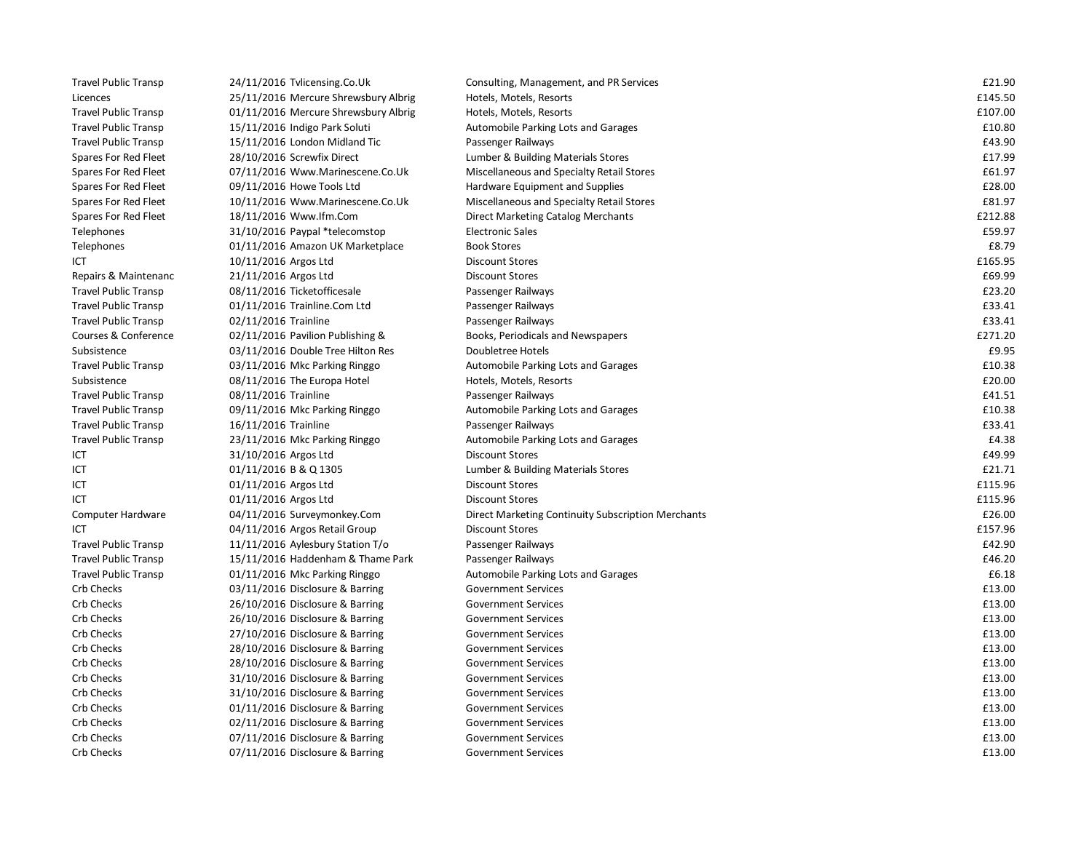| <b>Travel Public Transp</b> | 24/11/2016 Tvlicensing.Co.Uk         | Consulting, Management, and PR Services            | £21.90  |
|-----------------------------|--------------------------------------|----------------------------------------------------|---------|
| Licences                    | 25/11/2016 Mercure Shrewsbury Albrig | Hotels, Motels, Resorts                            | £145.50 |
| <b>Travel Public Transp</b> | 01/11/2016 Mercure Shrewsbury Albrig | Hotels, Motels, Resorts                            | £107.00 |
| <b>Travel Public Transp</b> | 15/11/2016 Indigo Park Soluti        | Automobile Parking Lots and Garages                | £10.80  |
| <b>Travel Public Transp</b> | 15/11/2016 London Midland Tic        | Passenger Railways                                 | £43.90  |
| Spares For Red Fleet        | 28/10/2016 Screwfix Direct           | Lumber & Building Materials Stores                 | £17.99  |
| Spares For Red Fleet        | 07/11/2016 Www.Marinescene.Co.Uk     | Miscellaneous and Specialty Retail Stores          | £61.97  |
| Spares For Red Fleet        | 09/11/2016 Howe Tools Ltd            | Hardware Equipment and Supplies                    | £28.00  |
| Spares For Red Fleet        | 10/11/2016 Www.Marinescene.Co.Uk     | Miscellaneous and Specialty Retail Stores          | £81.97  |
| Spares For Red Fleet        | 18/11/2016 Www.lfm.Com               | Direct Marketing Catalog Merchants                 | £212.88 |
| Telephones                  | 31/10/2016 Paypal *telecomstop       | <b>Electronic Sales</b>                            | £59.97  |
| Telephones                  | 01/11/2016 Amazon UK Marketplace     | <b>Book Stores</b>                                 | £8.79   |
| ICT                         | 10/11/2016 Argos Ltd                 | <b>Discount Stores</b>                             | £165.95 |
| Repairs & Maintenanc        | 21/11/2016 Argos Ltd                 | <b>Discount Stores</b>                             | £69.99  |
| <b>Travel Public Transp</b> | 08/11/2016 Ticketofficesale          | Passenger Railways                                 | £23.20  |
| <b>Travel Public Transp</b> | 01/11/2016 Trainline.Com Ltd         | Passenger Railways                                 | £33.41  |
| <b>Travel Public Transp</b> | 02/11/2016 Trainline                 | Passenger Railways                                 | £33.41  |
| Courses & Conference        | 02/11/2016 Pavilion Publishing &     | Books, Periodicals and Newspapers                  | £271.20 |
| Subsistence                 | 03/11/2016 Double Tree Hilton Res    | Doubletree Hotels                                  | £9.95   |
| <b>Travel Public Transp</b> | 03/11/2016 Mkc Parking Ringgo        | Automobile Parking Lots and Garages                | £10.38  |
| Subsistence                 | 08/11/2016 The Europa Hotel          | Hotels, Motels, Resorts                            | £20.00  |
| <b>Travel Public Transp</b> | 08/11/2016 Trainline                 | Passenger Railways                                 | £41.51  |
| <b>Travel Public Transp</b> | 09/11/2016 Mkc Parking Ringgo        | Automobile Parking Lots and Garages                | £10.38  |
| <b>Travel Public Transp</b> | 16/11/2016 Trainline                 | Passenger Railways                                 | £33.41  |
| <b>Travel Public Transp</b> | 23/11/2016 Mkc Parking Ringgo        | Automobile Parking Lots and Garages                | £4.38   |
| ICT                         | 31/10/2016 Argos Ltd                 | <b>Discount Stores</b>                             | £49.99  |
| ICT                         | 01/11/2016 B & Q 1305                | Lumber & Building Materials Stores                 | £21.71  |
| ICT                         | 01/11/2016 Argos Ltd                 | <b>Discount Stores</b>                             | £115.96 |
| ICT                         | 01/11/2016 Argos Ltd                 | <b>Discount Stores</b>                             | £115.96 |
| Computer Hardware           | 04/11/2016 Surveymonkey.Com          | Direct Marketing Continuity Subscription Merchants | £26.00  |
| ICT                         | 04/11/2016 Argos Retail Group        | <b>Discount Stores</b>                             | £157.96 |
| <b>Travel Public Transp</b> | 11/11/2016 Aylesbury Station T/o     | Passenger Railways                                 | £42.90  |
| <b>Travel Public Transp</b> | 15/11/2016 Haddenham & Thame Park    | Passenger Railways                                 | £46.20  |
| <b>Travel Public Transp</b> | 01/11/2016 Mkc Parking Ringgo        | Automobile Parking Lots and Garages                | £6.18   |
| Crb Checks                  | 03/11/2016 Disclosure & Barring      | <b>Government Services</b>                         | £13.00  |
| <b>Crb Checks</b>           | 26/10/2016 Disclosure & Barring      | <b>Government Services</b>                         | £13.00  |
| Crb Checks                  | 26/10/2016 Disclosure & Barring      | <b>Government Services</b>                         | £13.00  |
| Crb Checks                  | 27/10/2016 Disclosure & Barring      | <b>Government Services</b>                         | £13.00  |
| <b>Crb Checks</b>           | 28/10/2016 Disclosure & Barring      | <b>Government Services</b>                         | £13.00  |
| Crb Checks                  | 28/10/2016 Disclosure & Barring      | <b>Government Services</b>                         | £13.00  |
| Crb Checks                  | 31/10/2016 Disclosure & Barring      | <b>Government Services</b>                         | £13.00  |
| <b>Crb Checks</b>           | 31/10/2016 Disclosure & Barring      | <b>Government Services</b>                         | £13.00  |
| <b>Crb Checks</b>           | 01/11/2016 Disclosure & Barring      | <b>Government Services</b>                         | £13.00  |
| <b>Crb Checks</b>           | 02/11/2016 Disclosure & Barring      | <b>Government Services</b>                         | £13.00  |
| Crb Checks                  | 07/11/2016 Disclosure & Barring      | <b>Government Services</b>                         | £13.00  |
| <b>Crb Checks</b>           | 07/11/2016 Disclosure & Barring      | <b>Government Services</b>                         | £13.00  |
|                             |                                      |                                                    |         |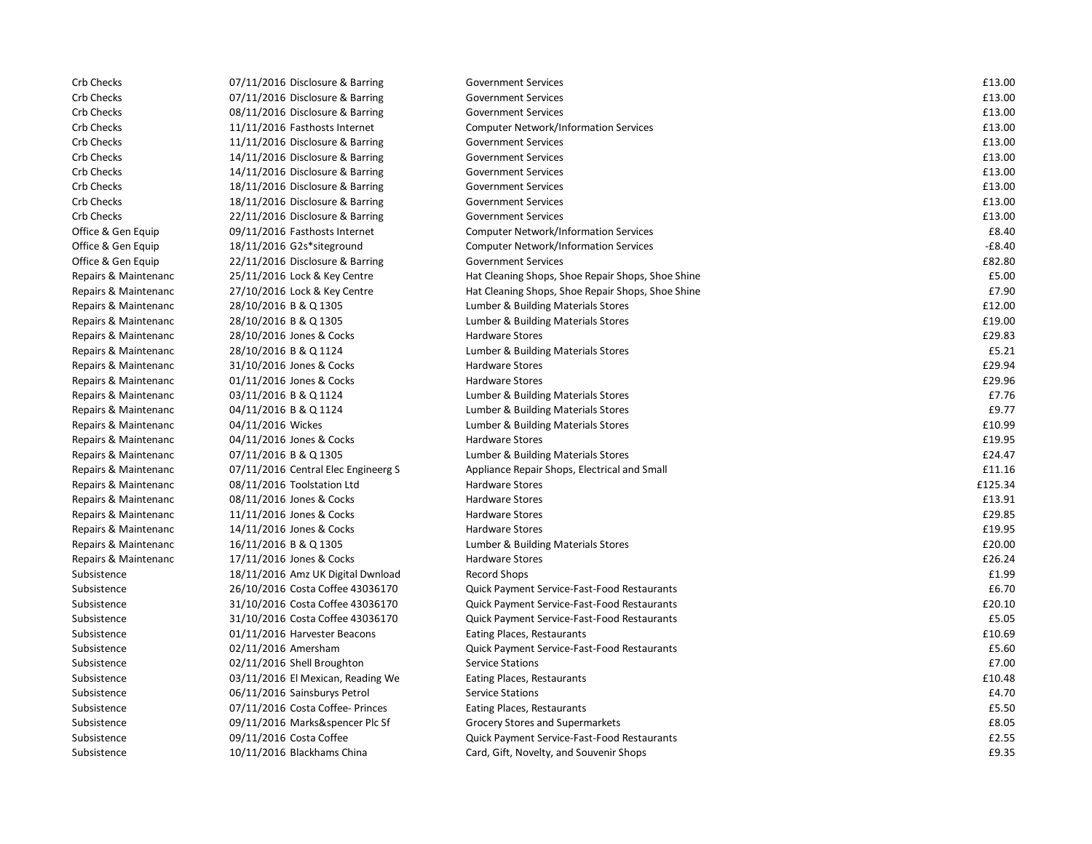| Crb Checks           | 07/11/2016 Disclosure & Barring     | <b>Government Services</b>                        | £13.00   |
|----------------------|-------------------------------------|---------------------------------------------------|----------|
| Crb Checks           | 07/11/2016 Disclosure & Barring     | <b>Government Services</b>                        | £13.00   |
| Crb Checks           | 08/11/2016 Disclosure & Barring     | <b>Government Services</b>                        | £13.00   |
| Crb Checks           | 11/11/2016 Fasthosts Internet       | <b>Computer Network/Information Services</b>      | £13.00   |
| Crb Checks           | 11/11/2016 Disclosure & Barring     | <b>Government Services</b>                        | £13.00   |
| Crb Checks           | 14/11/2016 Disclosure & Barring     | <b>Government Services</b>                        | £13.00   |
| Crb Checks           | 14/11/2016 Disclosure & Barring     | <b>Government Services</b>                        | £13.00   |
| Crb Checks           | 18/11/2016 Disclosure & Barring     | <b>Government Services</b>                        | £13.00   |
| Crb Checks           | 18/11/2016 Disclosure & Barring     | <b>Government Services</b>                        | £13.00   |
| Crb Checks           | 22/11/2016 Disclosure & Barring     | <b>Government Services</b>                        | £13.00   |
| Office & Gen Equip   | 09/11/2016 Fasthosts Internet       | <b>Computer Network/Information Services</b>      | £8.40    |
| Office & Gen Equip   | 18/11/2016 G2s*siteground           | <b>Computer Network/Information Services</b>      | $-£8.40$ |
| Office & Gen Equip   | 22/11/2016 Disclosure & Barring     | <b>Government Services</b>                        | £82.80   |
| Repairs & Maintenanc | 25/11/2016 Lock & Key Centre        | Hat Cleaning Shops, Shoe Repair Shops, Shoe Shine | £5.00    |
| Repairs & Maintenanc | 27/10/2016 Lock & Key Centre        | Hat Cleaning Shops, Shoe Repair Shops, Shoe Shine | £7.90    |
| Repairs & Maintenanc | 28/10/2016 B & Q 1305               | Lumber & Building Materials Stores                | £12.00   |
| Repairs & Maintenanc | 28/10/2016 B & Q 1305               | Lumber & Building Materials Stores                | £19.00   |
| Repairs & Maintenanc | 28/10/2016 Jones & Cocks            | <b>Hardware Stores</b>                            | £29.83   |
| Repairs & Maintenanc | 28/10/2016 B & Q 1124               | Lumber & Building Materials Stores                | £5.21    |
| Repairs & Maintenanc | 31/10/2016 Jones & Cocks            | <b>Hardware Stores</b>                            | £29.94   |
| Repairs & Maintenanc | 01/11/2016 Jones & Cocks            | <b>Hardware Stores</b>                            | £29.96   |
| Repairs & Maintenanc | 03/11/2016 B & Q 1124               | Lumber & Building Materials Stores                | £7.76    |
| Repairs & Maintenanc | 04/11/2016 B & Q 1124               | Lumber & Building Materials Stores                | £9.77    |
| Repairs & Maintenanc | 04/11/2016 Wickes                   | Lumber & Building Materials Stores                | £10.99   |
| Repairs & Maintenanc | 04/11/2016 Jones & Cocks            | <b>Hardware Stores</b>                            | £19.95   |
| Repairs & Maintenanc | 07/11/2016 B & Q 1305               | Lumber & Building Materials Stores                | £24.47   |
| Repairs & Maintenanc | 07/11/2016 Central Elec Engineerg S | Appliance Repair Shops, Electrical and Small      | £11.16   |
| Repairs & Maintenanc | 08/11/2016 Toolstation Ltd          | <b>Hardware Stores</b>                            | £125.34  |
| Repairs & Maintenanc | 08/11/2016 Jones & Cocks            | <b>Hardware Stores</b>                            | £13.91   |
| Repairs & Maintenanc | 11/11/2016 Jones & Cocks            | <b>Hardware Stores</b>                            | £29.85   |
| Repairs & Maintenanc | 14/11/2016 Jones & Cocks            | <b>Hardware Stores</b>                            | £19.95   |
| Repairs & Maintenanc | 16/11/2016 B & Q 1305               | Lumber & Building Materials Stores                | £20.00   |
| Repairs & Maintenanc | 17/11/2016 Jones & Cocks            | <b>Hardware Stores</b>                            | £26.24   |
| Subsistence          | 18/11/2016 Amz UK Digital Dwnload   | <b>Record Shops</b>                               | £1.99    |
| Subsistence          | 26/10/2016 Costa Coffee 43036170    | Quick Payment Service-Fast-Food Restaurants       | £6.70    |
| Subsistence          | 31/10/2016 Costa Coffee 43036170    | Quick Payment Service-Fast-Food Restaurants       | £20.10   |
| Subsistence          | 31/10/2016 Costa Coffee 43036170    | Quick Payment Service-Fast-Food Restaurants       | £5.05    |
| Subsistence          | 01/11/2016 Harvester Beacons        | Eating Places, Restaurants                        | £10.69   |
| Subsistence          | 02/11/2016 Amersham                 | Quick Payment Service-Fast-Food Restaurants       | £5.60    |
| Subsistence          | 02/11/2016 Shell Broughton          | <b>Service Stations</b>                           | £7.00    |
| Subsistence          | 03/11/2016 El Mexican, Reading We   | Eating Places, Restaurants                        | £10.48   |
| Subsistence          | 06/11/2016 Sainsburys Petrol        | <b>Service Stations</b>                           | £4.70    |
| Subsistence          | 07/11/2016 Costa Coffee- Princes    | Eating Places, Restaurants                        | £5.50    |
| Subsistence          | 09/11/2016 Marks&spencer Plc Sf     | Grocery Stores and Supermarkets                   | £8.05    |
| Subsistence          | 09/11/2016 Costa Coffee             | Quick Payment Service-Fast-Food Restaurants       | £2.55    |
| Subsistence          | 10/11/2016 Blackhams China          | Card, Gift, Novelty, and Souvenir Shops           | £9.35    |